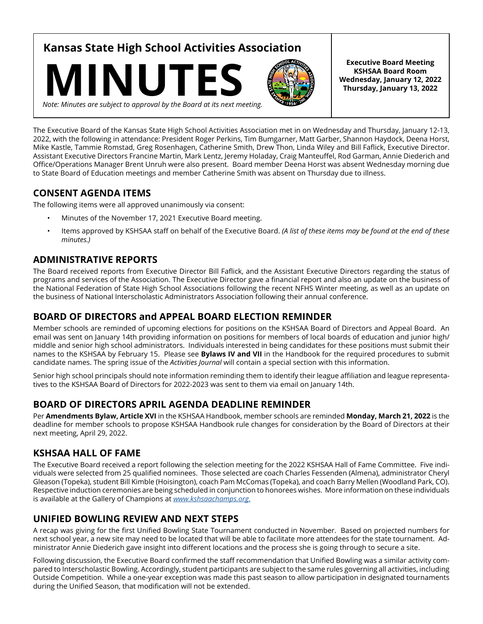**Kansas State High School Activities Association**





**Executive Board Meeting KSHSAA Board Room Wednesday, January 12, 2022 Thursday, January 13, 2022**

*Note: Minutes are subject to approval by the Board at its next meeting.*

The Executive Board of the Kansas State High School Activities Association met in on Wednesday and Thursday, January 12-13, 2022, with the following in attendance: President Roger Perkins, Tim Bumgarner, Matt Garber, Shannon Haydock, Deena Horst, Mike Kastle, Tammie Romstad, Greg Rosenhagen, Catherine Smith, Drew Thon, Linda Wiley and Bill Faflick, Executive Director. Assistant Executive Directors Francine Martin, Mark Lentz, Jeremy Holaday, Craig Manteuffel, Rod Garman, Annie Diederich and Office/Operations Manager Brent Unruh were also present. Board member Deena Horst was absent Wednesday morning due to State Board of Education meetings and member Catherine Smith was absent on Thursday due to illness.

## **CONSENT AGENDA ITEMS**

The following items were all approved unanimously via consent:

- Minutes of the November 17, 2021 Executive Board meeting.
- Items approved by KSHSAA staff on behalf of the Executive Board. *(A list of these items may be found at the end of these minutes.)*

## **ADMINISTRATIVE REPORTS**

The Board received reports from Executive Director Bill Faflick, and the Assistant Executive Directors regarding the status of programs and services of the Association. The Executive Director gave a financial report and also an update on the business of the National Federation of State High School Associations following the recent NFHS Winter meeting, as well as an update on the business of National Interscholastic Administrators Association following their annual conference.

## **BOARD OF DIRECTORS and APPEAL BOARD ELECTION REMINDER**

Member schools are reminded of upcoming elections for positions on the KSHSAA Board of Directors and Appeal Board. An email was sent on January 14th providing information on positions for members of local boards of education and junior high/ middle and senior high school administrators. Individuals interested in being candidates for these positions must submit their names to the KSHSAA by February 15. Please see **Bylaws IV and VII** in the Handbook for the required procedures to submit candidate names. The spring issue of the *Activities Journal* will contain a special section with this information.

Senior high school principals should note information reminding them to identify their league affiliation and league representatives to the KSHSAA Board of Directors for 2022-2023 was sent to them via email on January 14th.

## **BOARD OF DIRECTORS APRIL AGENDA DEADLINE REMINDER**

Per **Amendments Bylaw, Article XVI** in the KSHSAA Handbook, member schools are reminded **Monday, March 21, 2022** is the deadline for member schools to propose KSHSAA Handbook rule changes for consideration by the Board of Directors at their next meeting, April 29, 2022.

## **KSHSAA HALL OF FAME**

The Executive Board received a report following the selection meeting for the 2022 KSHSAA Hall of Fame Committee. Five individuals were selected from 25 qualified nominees. Those selected are coach Charles Fessenden (Almena), administrator Cheryl Gleason (Topeka), student Bill Kimble (Hoisington), coach Pam McComas (Topeka), and coach Barry Mellen (Woodland Park, CO). Respective induction ceremonies are being scheduled in conjunction to honorees wishes. More information on these individuals is available at the Gallery of Champions at *[www.kshsaachamps.org.](http://www.kshsaachamps.org
)*

## **UNIFIED BOWLING REVIEW AND NEXT STEPS**

A recap was giving for the first Unified Bowling State Tournament conducted in November. Based on projected numbers for next school year, a new site may need to be located that will be able to facilitate more attendees for the state tournament. Administrator Annie Diederich gave insight into different locations and the process she is going through to secure a site.

Following discussion, the Executive Board confirmed the staff recommendation that Unified Bowling was a similar activity compared to Interscholastic Bowling. Accordingly, student participants are subject to the same rules governing all activities, including Outside Competition. While a one-year exception was made this past season to allow participation in designated tournaments during the Unified Season, that modification will not be extended.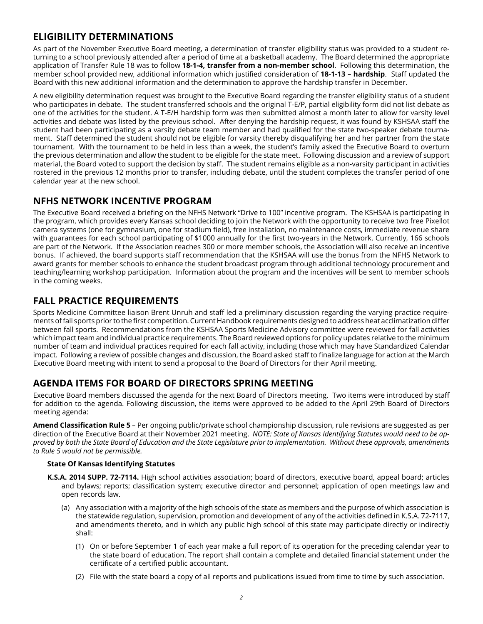## **ELIGIBILITY DETERMINATIONS**

As part of the November Executive Board meeting, a determination of transfer eligibility status was provided to a student returning to a school previously attended after a period of time at a basketball academy. The Board determined the appropriate application of Transfer Rule 18 was to follow **18-1-4, transfer from a non-member school**. Following this determination, the member school provided new, additional information which justified consideration of **18-1-13 – hardship**. Staff updated the Board with this new additional information and the determination to approve the hardship transfer in December.

A new eligibility determination request was brought to the Executive Board regarding the transfer eligibility status of a student who participates in debate. The student transferred schools and the original T-E/P, partial eligibility form did not list debate as one of the activities for the student. A T-E/H hardship form was then submitted almost a month later to allow for varsity level activities and debate was listed by the previous school. After denying the hardship request, it was found by KSHSAA staff the student had been participating as a varsity debate team member and had qualified for the state two-speaker debate tournament. Staff determined the student should not be eligible for varsity thereby disqualifying her and her partner from the state tournament. With the tournament to be held in less than a week, the student's family asked the Executive Board to overturn the previous determination and allow the student to be eligible for the state meet. Following discussion and a review of support material, the Board voted to support the decision by staff. The student remains eligible as a non-varsity participant in activities rostered in the previous 12 months prior to transfer, including debate, until the student completes the transfer period of one calendar year at the new school.

#### **NFHS NETWORK INCENTIVE PROGRAM**

The Executive Board received a briefing on the NFHS Network "Drive to 100" incentive program. The KSHSAA is participating in the program, which provides every Kansas school deciding to join the Network with the opportunity to receive two free Pixellot camera systems (one for gymnasium, one for stadium field), free installation, no maintenance costs, immediate revenue share with guarantees for each school participating of \$1000 annually for the first two-years in the Network. Currently, 166 schools are part of the Network. If the Association reaches 300 or more member schools, the Association will also receive an incentive bonus. If achieved, the board supports staff recommendation that the KSHSAA will use the bonus from the NFHS Network to award grants for member schools to enhance the student broadcast program through additional technology procurement and teaching/learning workshop participation. Information about the program and the incentives will be sent to member schools in the coming weeks.

## **FALL PRACTICE REQUIREMENTS**

Sports Medicine Committee liaison Brent Unruh and staff led a preliminary discussion regarding the varying practice requirements of fall sports prior to the first competition. Current Handbook requirements designed to address heat acclimatization differ between fall sports. Recommendations from the KSHSAA Sports Medicine Advisory committee were reviewed for fall activities which impact team and individual practice requirements. The Board reviewed options for policy updates relative to the minimum number of team and individual practices required for each fall activity, including those which may have Standardized Calendar impact. Following a review of possible changes and discussion, the Board asked staff to finalize language for action at the March Executive Board meeting with intent to send a proposal to the Board of Directors for their April meeting.

## **AGENDA ITEMS FOR BOARD OF DIRECTORS SPRING MEETING**

Executive Board members discussed the agenda for the next Board of Directors meeting. Two items were introduced by staff for addition to the agenda. Following discussion, the items were approved to be added to the April 29th Board of Directors meeting agenda:

**Amend Classification Rule 5** – Per ongoing public/private school championship discussion, rule revisions are suggested as per direction of the Executive Board at their November 2021 meeting. *NOTE: State of Kansas Identifying Statutes would need to be approved by both the State Board of Education and the State Legislature prior to implementation. Without these approvals, amendments to Rule 5 would not be permissible.* 

#### **State Of Kansas Identifying Statutes**

- **K.S.A. 2014 SUPP. 72-7114.** High school activities association; board of directors, executive board, appeal board; articles and bylaws; reports; classification system; executive director and personnel; application of open meetings law and open records law.
	- (a) Any association with a majority of the high schools of the state as members and the purpose of which association is the statewide regulation, supervision, promotion and development of any of the activities defined in K.S.A. 72-7117, and amendments thereto, and in which any public high school of this state may participate directly or indirectly shall:
		- (1) On or before September 1 of each year make a full report of its operation for the preceding calendar year to the state board of education. The report shall contain a complete and detailed financial statement under the certificate of a certified public accountant.
		- (2) File with the state board a copy of all reports and publications issued from time to time by such association.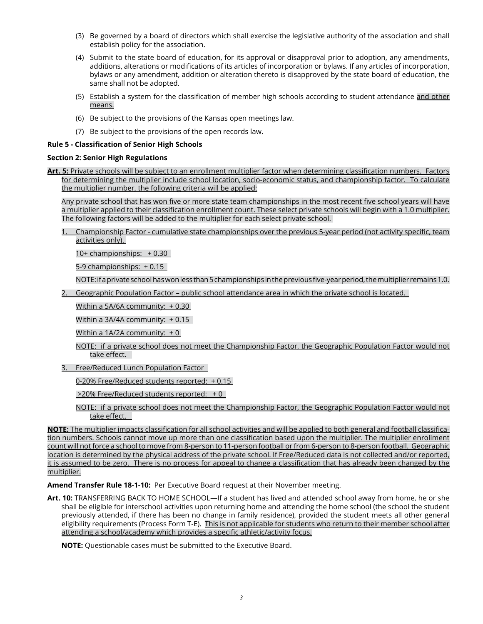- (3) Be governed by a board of directors which shall exercise the legislative authority of the association and shall establish policy for the association.
- (4) Submit to the state board of education, for its approval or disapproval prior to adoption, any amendments, additions, alterations or modifications of its articles of incorporation or bylaws. If any articles of incorporation, bylaws or any amendment, addition or alteration thereto is disapproved by the state board of education, the same shall not be adopted.
- (5) Establish a system for the classification of member high schools according to student attendance and other means.
- (6) Be subject to the provisions of the Kansas open meetings law.
- (7) Be subject to the provisions of the open records law.

#### **Rule 5 - Classification of Senior High Schools**

#### **Section 2: Senior High Regulations**

**Art. 5:** Private schools will be subject to an enrollment multiplier factor when determining classification numbers. Factors for determining the multiplier include school location, socio-economic status, and championship factor. To calculate the multiplier number, the following criteria will be applied:

Any private school that has won five or more state team championships in the most recent five school years will have a multiplier applied to their classification enrollment count. These select private schools will begin with a 1.0 multiplier. The following factors will be added to the multiplier for each select private school.

1. Championship Factor - cumulative state championships over the previous 5-year period (not activity specific, team activities only).

10+ championships: + 0.30

5-9 championships: + 0.15

NOTE: if a private school has won less than 5 championships in the previous five-year period, the multiplier remains 1.0.

2. Geographic Population Factor – public school attendance area in which the private school is located.

Within a 5A/6A community: + 0.30

Within a 3A/4A community: + 0.15

Within a 1A/2A community:  $+0$ 

NOTE: if a private school does not meet the Championship Factor, the Geographic Population Factor would not take effect.

3. Free/Reduced Lunch Population Factor

0-20% Free/Reduced students reported: + 0.15

>20% Free/Reduced students reported: + 0

NOTE: if a private school does not meet the Championship Factor, the Geographic Population Factor would not take effect.

**NOTE:** The multiplier impacts classification for all school activities and will be applied to both general and football classification numbers. Schools cannot move up more than one classification based upon the multiplier. The multiplier enrollment count will not force a school to move from 8-person to 11-person football or from 6-person to 8-person football. Geographic location is determined by the physical address of the private school. If Free/Reduced data is not collected and/or reported, it is assumed to be zero. There is no process for appeal to change a classification that has already been changed by the multiplier.

**Amend Transfer Rule 18-1-10:** Per Executive Board request at their November meeting.

**Art. 10:** TRANSFERRING BACK TO HOME SCHOOL—If a student has lived and attended school away from home, he or she shall be eligible for interschool activities upon returning home and attending the home school (the school the student previously attended, if there has been no change in family residence), provided the student meets all other general eligibility requirements (Process Form T-E). This is not applicable for students who return to their member school after attending a school/academy which provides a specific athletic/activity focus.

**NOTE:** Questionable cases must be submitted to the Executive Board.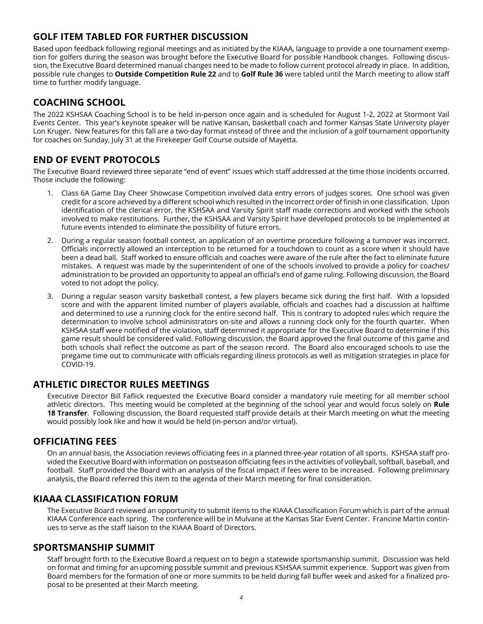## **GOLF ITEM TABLED FOR FURTHER DISCUSSION**

Based upon feedback following regional meetings and as initiated by the KIAAA, language to provide a one tournament exemption for golfers during the season was brought before the Executive Board for possible Handbook changes. Following discussion, the Executive Board determined manual changes need to be made to follow current protocol already in place. In addition, possible rule changes to **Outside Competition Rule 22** and to **Golf Rule 36** were tabled until the March meeting to allow staff time to further modify language.

## **COACHING SCHOOL**

The 2022 KSHSAA Coaching School is to be held in-person once again and is scheduled for August 1-2, 2022 at Stormont Vail Events Center. This year's keynote speaker will be native Kansan, basketball coach and former Kansas State University player Lon Kruger. New features for this fall are a two-day format instead of three and the inclusion of a golf tournament opportunity for coaches on Sunday, July 31 at the Firekeeper Golf Course outside of Mayetta.

## **END OF EVENT PROTOCOLS**

The Executive Board reviewed three separate "end of event" issues which staff addressed at the time those incidents occurred. Those include the following:

- 1. Class 6A Game Day Cheer Showcase Competition involved data entry errors of judges scores. One school was given credit for a score achieved by a different school which resulted in the incorrect order of finish in one classification. Upon identification of the clerical error, the KSHSAA and Varsity Spirit staff made corrections and worked with the schools involved to make restitutions. Further, the KSHSAA and Varsity Spirit have developed protocols to be implemented at future events intended to eliminate the possibility of future errors.
- 2. During a regular season football contest, an application of an overtime procedure following a turnover was incorrect. Officials incorrectly allowed an interception to be returned for a touchdown to count as a score when it should have been a dead ball. Staff worked to ensure officials and coaches were aware of the rule after the fact to eliminate future mistakes. A request was made by the superintendent of one of the schools involved to provide a policy for coaches/ administration to be provided an opportunity to appeal an official's end of game ruling. Following discussion, the Board voted to not adopt the policy.
- 3. During a regular season varsity basketball contest, a few players became sick during the first half. With a lopsided score and with the apparent limited number of players available, officials and coaches had a discussion at halftime and determined to use a running clock for the entire second half. This is contrary to adopted rules which require the determination to involve school administrators on-site and allows a running clock only for the fourth quarter. When KSHSAA staff were notified of the violation, staff determined it appropriate for the Executive Board to determine if this game result should be considered valid. Following discussion, the Board approved the final outcome of this game and both schools shall reflect the outcome as part of the season record. The Board also encouraged schools to use the pregame time out to communicate with officials regarding illness protocols as well as mitigation strategies in place for COVID-19.

#### **ATHLETIC DIRECTOR RULES MEETINGS**

Executive Director Bill Faflick requested the Executive Board consider a mandatory rule meeting for all member school athletic directors. This meeting would be completed at the beginning of the school year and would focus solely on **Rule 18 Transfer**. Following discussion, the Board requested staff provide details at their March meeting on what the meeting would possibly look like and how it would be held (in-person and/or virtual).

## **OFFICIATING FEES**

On an annual basis, the Association reviews officiating fees in a planned three-year rotation of all sports. KSHSAA staff provided the Executive Board with information on postseason officiating fees in the activities of volleyball, softball, baseball, and football. Staff provided the Board with an analysis of the fiscal impact if fees were to be increased. Following preliminary analysis, the Board referred this item to the agenda of their March meeting for final consideration.

#### **KIAAA CLASSIFICATION FORUM**

The Executive Board reviewed an opportunity to submit items to the KIAAA Classification Forum which is part of the annual KIAAA Conference each spring. The conference will be in Mulvane at the Kansas Star Event Center. Francine Martin continues to serve as the staff liaison to the KIAAA Board of Directors.

#### **SPORTSMANSHIP SUMMIT**

Staff brought forth to the Executive Board a request on to begin a statewide sportsmanship summit. Discussion was held on format and timing for an upcoming possible summit and previous KSHSAA summit experience. Support was given from Board members for the formation of one or more summits to be held during fall buffer week and asked for a finalized proposal to be presented at their March meeting.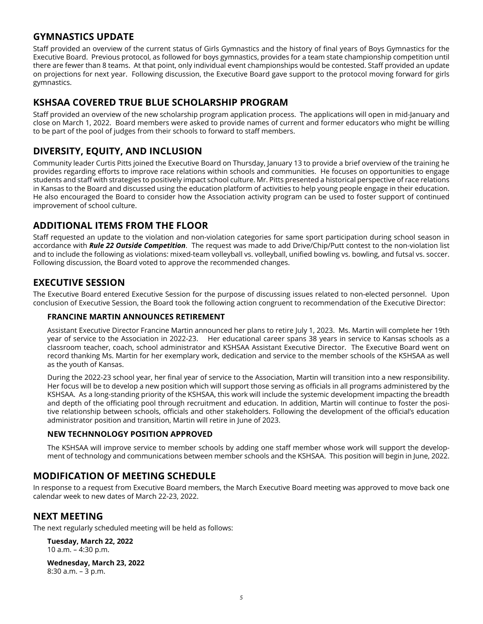## **GYMNASTICS UPDATE**

Staff provided an overview of the current status of Girls Gymnastics and the history of final years of Boys Gymnastics for the Executive Board. Previous protocol, as followed for boys gymnastics, provides for a team state championship competition until there are fewer than 8 teams. At that point, only individual event championships would be contested. Staff provided an update on projections for next year. Following discussion, the Executive Board gave support to the protocol moving forward for girls gymnastics.

### **KSHSAA COVERED TRUE BLUE SCHOLARSHIP PROGRAM**

Staff provided an overview of the new scholarship program application process. The applications will open in mid-January and close on March 1, 2022. Board members were asked to provide names of current and former educators who might be willing to be part of the pool of judges from their schools to forward to staff members.

## **DIVERSITY, EQUITY, AND INCLUSION**

Community leader Curtis Pitts joined the Executive Board on Thursday, January 13 to provide a brief overview of the training he provides regarding efforts to improve race relations within schools and communities. He focuses on opportunities to engage students and staff with strategies to positively impact school culture. Mr. Pitts presented a historical perspective of race relations in Kansas to the Board and discussed using the education platform of activities to help young people engage in their education. He also encouraged the Board to consider how the Association activity program can be used to foster support of continued improvement of school culture.

## **ADDITIONAL ITEMS FROM THE FLOOR**

Staff requested an update to the violation and non-violation categories for same sport participation during school season in accordance with *Rule 22 Outside Competition*. The request was made to add Drive/Chip/Putt contest to the non-violation list and to include the following as violations: mixed-team volleyball vs. volleyball, unified bowling vs. bowling, and futsal vs. soccer. Following discussion, the Board voted to approve the recommended changes.

## **EXECUTIVE SESSION**

The Executive Board entered Executive Session for the purpose of discussing issues related to non-elected personnel. Upon conclusion of Executive Session, the Board took the following action congruent to recommendation of the Executive Director:

#### **FRANCINE MARTIN ANNOUNCES RETIREMENT**

Assistant Executive Director Francine Martin announced her plans to retire July 1, 2023. Ms. Martin will complete her 19th year of service to the Association in 2022-23. Her educational career spans 38 years in service to Kansas schools as a classroom teacher, coach, school administrator and KSHSAA Assistant Executive Director. The Executive Board went on record thanking Ms. Martin for her exemplary work, dedication and service to the member schools of the KSHSAA as well as the youth of Kansas.

During the 2022-23 school year, her final year of service to the Association, Martin will transition into a new responsibility. Her focus will be to develop a new position which will support those serving as officials in all programs administered by the KSHSAA. As a long-standing priority of the KSHSAA, this work will include the systemic development impacting the breadth and depth of the officiating pool through recruitment and education. In addition, Martin will continue to foster the positive relationship between schools, officials and other stakeholders. Following the development of the official's education administrator position and transition, Martin will retire in June of 2023.

#### **NEW TECHNNOLOGY POSITION APPROVED**

The KSHSAA will improve service to member schools by adding one staff member whose work will support the development of technology and communications between member schools and the KSHSAA. This position will begin in June, 2022.

## **MODIFICATION OF MEETING SCHEDULE**

In response to a request from Executive Board members, the March Executive Board meeting was approved to move back one calendar week to new dates of March 22-23, 2022.

## **NEXT MEETING**

The next regularly scheduled meeting will be held as follows:

**Tuesday, March 22, 2022** 10 a.m. – 4:30 p.m.

**Wednesday, March 23, 2022**  8:30 a.m. – 3 p.m.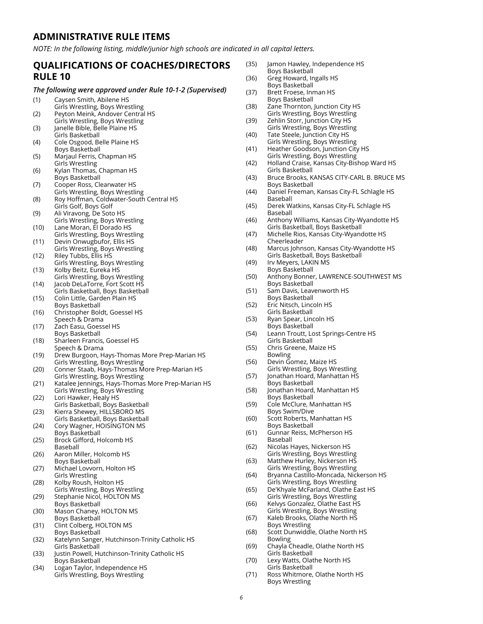#### **ADMINISTRATIVE RULE ITEMS**

*NOTE: In the following listing, middle/junior high schools are indicated in all capital letters.* 

#### **QUALIFICATIONS OF COACHES/DIRECTORS RULE 10**

#### *The following were approved under Rule 10-1-2 (Supervised)*

#### (1) Caysen Smith, Abilene HS

- Girls Wrestling, Boys Wrestling (2) Peyton Meink, Andover Central HS
- Girls Wrestling, Boys Wrestling (3) Janelle Bible, Belle Plaine HS
- Girls Basketball (4) Cole Osgood, Belle Plaine HS
- Boys Basketball
- (5) Marjaul Ferris, Chapman HS Girls Wrestling
- (6) Kylan Thomas, Chapman HS Boys Basketball
- (7) Cooper Ross, Clearwater HS Girls Wrestling, Boys Wrestling
- (8) Roy Hoffman, Coldwater-South Central HS Girls Golf, Boys Golf
- (9) Ali Viravong, De Soto HS
- Girls Wrestling, Boys Wrestling (10) Lane Moran, El Dorado HS
- Girls Wrestling, Boys Wrestling (11) Devin Onwugbufor, Ellis HS
- Girls Wrestling, Boys Wrestling (12) Riley Tubbs, Ellis HS
- Girls Wrestling, Boys Wrestling (13) Kolby Beitz, Eureka HS
- Girls Wrestling, Boys Wrestling (14) Jacob DeLaTorre, Fort Scott HS
- Girls Basketball, Boys Basketball (15) Colin Little, Garden Plain HS
- Boys Basketball (16) Christopher Boldt, Goessel HS
- Speech & Drama (17) Zach Easu, Goessel HS
- Boys Basketball
- (18) Sharleen Francis, Goessel HS Speech & Drama
- (19) Drew Burgoon, Hays-Thomas More Prep-Marian HS Girls Wrestling, Boys Wrestling
- (20) Conner Staab, Hays-Thomas More Prep-Marian HS Girls Wrestling, Boys Wrestling
- (21) Katalee Jennings, Hays-Thomas More Prep-Marian HS Girls Wrestling, Boys Wrestling
- (22) Lori Hawker, Healy HS Girls Basketball, Boys Basketball
- (23) Kierra Shewey, HILLSBORO MS Girls Basketball, Boys Basketball
- (24) Cory Wagner, HOISINGTON MS Boys Basketball
- (25) Brock Gifford, Holcomb HS Baseball
- (26) Aaron Miller, Holcomb HS Boys Basketball
- (27) Michael Lovvorn, Holton HS Girls Wrestling
- (28) Kolby Roush, Holton HS Girls Wrestling, Boys Wrestling
- (29) Stephanie Nicol, HOLTON MS Boys Basketball
- (30) Mason Chaney, HOLTON MS Boys Basketball
- (31) Clint Colberg, HOLTON MS Boys Basketball
- (32) Katelynn Sanger, Hutchinson-Trinity Catholic HS Girls Basketball
- (33) Justin Powell, Hutchinson-Trinity Catholic HS Boys Basketball
- (34) Logan Taylor, Independence HS Girls Wrestling, Boys Wrestling
- (35) Jamon Hawley, Independence HS Boys Basketball
- (36) Greg Howard, Ingalls HS Boys Basketball
- (37) Brett Froese, Inman HS Boys Basketball
- (38) Zane Thornton, Junction City HS Girls Wrestling, Boys Wrestling
- (39) Zehlin Storr, Junction City HS Girls Wrestling, Boys Wrestling
- (40) Tate Steele, Junction City HS Girls Wrestling, Boys Wrestling
- (41) Heather Goodson, Junction City HS Girls Wrestling, Boys Wrestling
- (42) Holland Craise, Kansas City-Bishop Ward HS Girls Basketball
- (43) Bruce Brooks, KANSAS CITY-CARL B. BRUCE MS Boys Basketball
- (44) Daniel Freeman, Kansas City-FL Schlagle HS Baseball
- (45) Derek Watkins, Kansas City-FL Schlagle HS Baseball
- (46) Anthony Williams, Kansas City-Wyandotte HS Girls Basketball, Boys Basketball
- (47) Michelle Rios, Kansas City-Wyandotte HS Cheerleader
- (48) Marcus Johnson, Kansas City-Wyandotte HS Girls Basketball, Boys Basketball
- (49) Irv Meyers, LAKIN MS Boys Basketball
- (50) Anthony Bonner, LAWRENCE-SOUTHWEST MS Boys Basketball
- (51) Sam Davis, Leavenworth HS Boys Basketball
- (52) Eric Nitsch, Lincoln HS Girls Basketball
- (53) Ryan Spear, Lincoln HS Boys Basketball
- (54) Leann Troutt, Lost Springs-Centre HS Girls Basketball
- (55) Chris Greene, Maize HS Bowling
- (56) Devin Gomez, Maize HS Girls Wrestling, Boys Wrestling
- (57) Jonathan Hoard, Manhattan HS Boys Basketball
- (58) Jonathan Hoard, Manhattan HS Boys Basketball
- (59) Cole McClure, Manhattan HS Boys Swim/Dive
- (60) Scott Roberts, Manhattan HS Boys Basketball
- (61) Gunnar Reiss, McPherson HS Baseball
- (62) Nicolas Hayes, Nickerson HS Girls Wrestling, Boys Wrestling
- (63) Matthew Hurley, Nickerson HS Girls Wrestling, Boys Wrestling
- (64) Bryanna Castillo-Moncada, Nickerson HS Girls Wrestling, Boys Wrestling
- (65) De'Khyale McFarland, Olathe East HS Girls Wrestling, Boys Wrestling
- (66) Kelvys Gonzalez, Olathe East HS
- Girls Wrestling, Boys Wrestling (67) Kaleb Brooks, Olathe North HS
- Boys Wrestling (68) Scott Dunwiddle, Olathe North HS
- Bowling (69) Chayla Cheadle, Olathe North HS
- Girls Basketball
- (70) Lexy Watts, Olathe North HS Girls Basketball
- (71) Ross Whitmore, Olathe North HS Boys Wrestling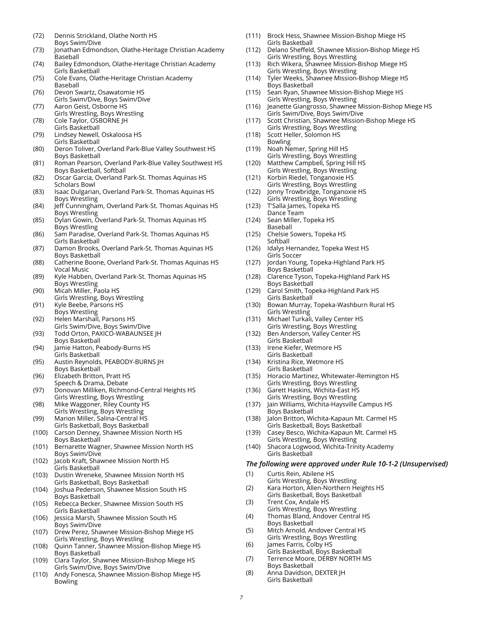- (72) Dennis Strickland, Olathe North HS Boys Swim/Dive
- (73) Jonathan Edmondson, Olathe-Heritage Christian Academy Baseball
- (74) Bailey Edmondson, Olathe-Heritage Christian Academy Girls Basketball
- (75) Cole Evans, Olathe-Heritage Christian Academy Baseball
- (76) Devon Swartz, Osawatomie HS Girls Swim/Dive, Boys Swim/Dive
- (77) Aaron Geist, Osborne HS Girls Wrestling, Boys Wrestling
- (78) Cole Taylor, OSBORNE JH Girls Basketball
- (79) Lindsey Newell, Oskaloosa HS Girls Basketball
- (80) Deron Toliver, Overland Park-Blue Valley Southwest HS Boys Basketball
- (81) Roman Pearson, Overland Park-Blue Valley Southwest HS Boys Basketball, Softball
- (82) Oscar Garcia, Overland Park-St. Thomas Aquinas HS Scholars Bowl
- (83) Isaac Dulgarian, Overland Park-St. Thomas Aquinas HS Boys Wrestling
- (84) Jeff Cunningham, Overland Park-St. Thomas Aquinas HS Boys Wrestling
- (85) Dylan Gowin, Overland Park-St. Thomas Aquinas HS Boys Wrestling
- (86) Sam Paradise, Overland Park-St. Thomas Aquinas HS Girls Basketball
- (87) Damon Brooks, Overland Park-St. Thomas Aquinas HS Boys Basketball
- (88) Catherine Boone, Overland Park-St. Thomas Aquinas HS Vocal Music
- (89) Kyle Habben, Overland Park-St. Thomas Aquinas HS Boys Wrestling
- (90) Micah Miller, Paola HS Girls Wrestling, Boys Wrestling
- (91) Kyle Beebe, Parsons HS
- Boys Wrestling (92) Helen Marshall, Parsons HS
- Girls Swim/Dive, Boys Swim/Dive
- (93) Todd Orton, PAXICO-WABAUNSEE JH Boys Basketball
- (94) Jamie Hatton, Peabody-Burns HS Girls Basketball
- (95) Austin Reynolds, PEABODY-BURNS JH Boys Basketball
- (96) Elizabeth Britton, Pratt HS Speech & Drama, Debate
- (97) Donovan Milliken, Richmond-Central Heights HS Girls Wrestling, Boys Wrestling
- (98) Mike Waggoner, Riley County HS Girls Wrestling, Boys Wrestling
- (99) Marion Miller, Salina-Central HS Girls Basketball, Boys Basketball
- (100) Carson Denney, Shawnee Mission North HS Boys Basketball
- (101) Bernarette Wagner, Shawnee Mission North HS Boys Swim/Dive
- (102) Jacob Kraft, Shawnee Mission North HS Girls Basketball
- (103) Dustin Wreneke, Shawnee Mission North HS Girls Basketball, Boys Basketball
- (104) Joshua Pederson, Shawnee Mission South HS Boys Basketball
- (105) Rebecca Becker, Shawnee Mission South HS Girls Basketball
- (106) Jessica Marsh, Shawnee Mission South HS Boys Swim/Dive
- (107) Drew Perez, Shawnee Mission-Bishop Miege HS Girls Wrestling, Boys Wrestling
- (108) Quinn Tanner, Shawnee Mission-Bishop Miege HS Boys Basketball
- (109) Clara Taylor, Shawnee Mission-Bishop Miege HS Girls Swim/Dive, Boys Swim/Dive
- (110) Andy Fonesca, Shawnee Mission-Bishop Miege HS Bowling
- (111) Brock Hess, Shawnee Mission-Bishop Miege HS Girls Basketball
- (112) Delano Sheffeld, Shawnee Mission-Bishop Miege HS Girls Wrestling, Boys Wrestling
- (113) Rich Wikera, Shawnee Mission-Bishop Miege HS Girls Wrestling, Boys Wrestling
- (114) Tyler Weeks, Shawnee Mission-Bishop Miege HS Boys Basketball
- (115) Sean Ryan, Shawnee Mission-Bishop Miege HS Girls Wrestling, Boys Wrestling
- (116) Jeanette Giangrosso, Shawnee Mission-Bishop Miege HS Girls Swim/Dive, Boys Swim/Dive
- (117) Scott Christian, Shawnee Mission-Bishop Miege HS Girls Wrestling, Boys Wrestling
- (118) Scott Heller, Solomon HS Bowling
- (119) Noah Nemer, Spring Hill HS Girls Wrestling, Boys Wrestling
- (120) Matthew Campbell, Spring Hill HS
- Girls Wrestling, Boys Wrestling (121) Korbin Riedel, Tonganoxie HS
- Girls Wrestling, Boys Wrestling (122) Jonny Trowbridge, Tonganoxie HS Girls Wrestling, Boys Wrestling
- (123) T'Salla James, Topeka HS
- Dance Team (124) Sean Miller, Topeka HS
- Baseball (125) Chelsie Sowers, Topeka HS Softball
- (126) Idalys Hernandez, Topeka West HS Girls Soccer
- (127) Jordan Young, Topeka-Highland Park HS Boys Basketball
- (128) Clarence Tyson, Topeka-Highland Park HS Boys Basketball
- (129) Carol Smith, Topeka-Highland Park HS Girls Basketball
- (130) Bowan Murray, Topeka-Washburn Rural HS Girls Wrestling
- (131) Michael Turkali, Valley Center HS Girls Wrestling, Boys Wrestling
- (132) Ben Anderson, Valley Center HS Girls Basketball
- (133) Irene Kiefer, Wetmore HS Girls Basketball
- (134) Kristina Rice, Wetmore HS Girls Basketball
- (135) Horacio Martinez, Whitewater-Remington HS Girls Wrestling, Boys Wrestling
- (136) Garett Haskins, Wichita-East HS Girls Wrestling, Boys Wrestling
- (137) Jain Williams, Wichita-Haysville Campus HS Boys Basketball
- (138) Jalon Britton, Wichita-Kapaun Mt. Carmel HS Girls Basketball, Boys Basketball
- (139) Casey Besco, Wichita-Kapaun Mt. Carmel HS Girls Wrestling, Boys Wrestling
- (140) Shacora Logwood, Wichita-Trinity Academy Girls Basketball

#### *The following were approved under Rule 10-1-2 (Unsupervised)*

- (1) Curtis Rein, Abilene HS
- Girls Wrestling, Boys Wrestling
- (2) Kara Horton, Allen-Northern Heights HS Girls Basketball, Boys Basketball
- (3) Trent Cox, Andale HS
- Girls Wrestling, Boys Wrestling (4) Thomas Bland, Andover Central HS
- Boys Basketball (5) Mitch Arnold, Andover Central HS
- Girls Wrestling, Boys Wrestling (6) James Farris, Colby HS
- Girls Basketball, Boys Basketball (7) Terrence Moore, DERBY NORTH MS
- Boys Basketball
- (8) Anna Davidson, DEXTER JH Girls Basketball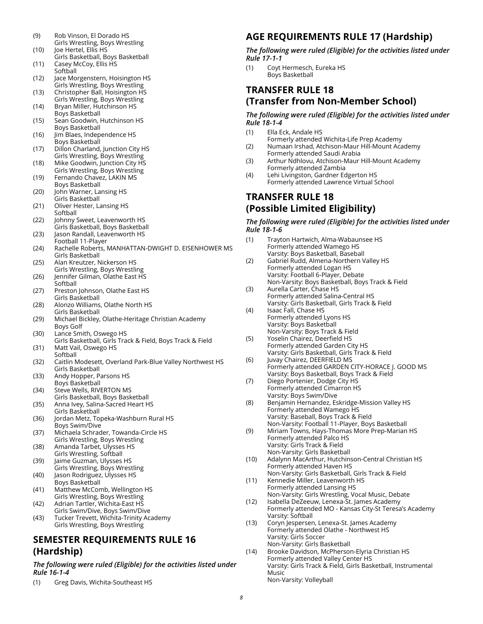- (9) Rob Vinson, El Dorado HS Girls Wrestling, Boys Wrestling
- (10) Joe Hertel, Ellis HS Girls Basketball, Boys Basketball
- (11) Casey McCoy, Ellis HS **Softball** (12) Jace Morgenstern, Hoisington HS
- Girls Wrestling, Boys Wrestling (13) Christopher Ball, Hoisington HS
- Girls Wrestling, Boys Wrestling (14) Bryan Miller, Hutchinson HS
- Boys Basketball
- (15) Sean Goodwin, Hutchinson HS Boys Basketball
- (16) Jim Blaes, Independence HS Boys Basketball
- (17) Dillon Charland, Junction City HS Girls Wrestling, Boys Wrestling
- (18) Mike Goodwin, Junction City HS Girls Wrestling, Boys Wrestling
- (19) Fernando Chavez, LAKIN MS Boys Basketball
- (20) John Warner, Lansing HS Girls Basketball
- (21) Oliver Hester, Lansing HS Softball
- (22) Johnny Sweet, Leavenworth HS Girls Basketball, Boys Basketball
- (23) Jason Randall, Leavenworth HS Football 11-Player
- (24) Rachelle Roberts, MANHATTAN-DWIGHT D. EISENHOWER MS Girls Basketball
- (25) Alan Kreutzer, Nickerson HS Girls Wrestling, Boys Wrestling
- (26) Jennifer Gilman, Olathe East HS Softball
- (27) Preston Johnson, Olathe East HS Girls Basketball
- (28) Alonzo Williams, Olathe North HS Girls Basketball
- (29) Michael Bickley, Olathe-Heritage Christian Academy Boys Golf
- (30) Lance Smith, Oswego HS
- Girls Basketball, Girls Track & Field, Boys Track & Field (31) Matt Vail, Oswego HS
- Softball (32) Caitlin Modesett, Overland Park-Blue Valley Northwest HS Girls Basketball
- (33) Andy Hopper, Parsons HS Boys Basketball
- (34) Steve Wells, RIVERTON MS Girls Basketball, Boys Basketball
- (35) Anna Ivey, Salina-Sacred Heart HS Girls Basketball
- (36) Jordan Metz, Topeka-Washburn Rural HS Boys Swim/Dive
- (37) Michaela Schrader, Towanda-Circle HS Girls Wrestling, Boys Wrestling
- (38) Amanda Tarbet, Ulysses HS Girls Wrestling, Softball
- (39) Jaime Guzman, Ulysses HS Girls Wrestling, Boys Wrestling
- (40) Jason Rodriguez, Ulysses HS Boys Basketball
- (41) Matthew McComb, Wellington HS Girls Wrestling, Boys Wrestling
- (42) Adrian Tartler, Wichita-East HS
- Girls Swim/Dive, Boys Swim/Dive (43) Tucker Trevett, Wichita-Trinity Academy Girls Wrestling, Boys Wrestling

## **SEMESTER REQUIREMENTS RULE 16 (Hardship)**

#### *The following were ruled (Eligible) for the activities listed under Rule 16-1-4*

(1) Greg Davis, Wichita-Southeast HS

# **AGE REQUIREMENTS RULE 17 (Hardship)**

*The following were ruled (Eligible) for the activities listed under Rule 17-1-1*

(1) Coyt Hermesch, Eureka HS Boys Basketball

### **TRANSFER RULE 18 (Transfer from Non-Member School)**

*The following were ruled (Eligible) for the activities listed under Rule 18-1-4*

- (1) Ella Eck, Andale HS Formerly attended Wichita-Life Prep Academy (2) Numaan Irshad, Atchison-Maur Hill-Mount Academy
- Formerly attended Saudi Arabia
- (3) Arthur Ndhlovu, Atchison-Maur Hill-Mount Academy Formerly attended Zambia
- (4) Lehi Livingston, Gardner Edgerton HS Formerly attended Lawrence Virtual School

## **TRANSFER RULE 18 (Possible Limited Eligibility)**

#### *The following were ruled (Eligible) for the activities listed under Rule 18-1-6*

(1) Trayton Hartwich, Alma-Wabaunsee HS Formerly attended Wamego HS Varsity: Boys Basketball, Baseball (2) Gabriel Rudd, Almena-Northern Valley HS Formerly attended Logan HS Varsity: Football 6-Player, Debate Non-Varsity: Boys Basketball, Boys Track & Field (3) Aurella Carter, Chase HS Formerly attended Salina-Central HS Varsity: Girls Basketball, Girls Track & Field (4) Isaac Fall, Chase HS Formerly attended Lyons HS Varsity: Boys Basketball Non-Varsity: Boys Track & Field (5) Yoselin Chairez, Deerfield HS Formerly attended Garden City HS Varsity: Girls Basketball, Girls Track & Field (6) Juvay Chairez, DEERFIELD MS Formerly attended GARDEN CITY-HORACE J. GOOD MS Varsity: Boys Basketball, Boys Track & Field (7) Diego Portenier, Dodge City HS Formerly attended Cimarron HS Varsity: Boys Swim/Dive (8) Benjamin Hernandez, Eskridge-Mission Valley HS Formerly attended Wamego HS Varsity: Baseball, Boys Track & Field Non-Varsity: Football 11-Player, Boys Basketball (9) Miriam Towns, Hays-Thomas More Prep-Marian HS Formerly attended Palco HS Varsity: Girls Track & Field Non-Varsity: Girls Basketball (10) Adalynn MacArthur, Hutchinson-Central Christian HS Formerly attended Haven HS Non-Varsity: Girls Basketball, Girls Track & Field (11) Kennedie Miller, Leavenworth HS Formerly attended Lansing HS Non-Varsity: Girls Wrestling, Vocal Music, Debate (12) Isabella DeZeeuw, Lenexa-St. James Academy Formerly attended MO - Kansas City-St Teresa's Academy Varsity: Softball (13) Coryn Jespersen, Lenexa-St. James Academy Formerly attended Olathe - Northwest HS Varsity: Girls Soccer Non-Varsity: Girls Basketball (14) Brooke Davidson, McPherson-Elyria Christian HS Formerly attended Valley Center HS Varsity: Girls Track & Field, Girls Basketball, Instrumental

Music

Non-Varsity: Volleyball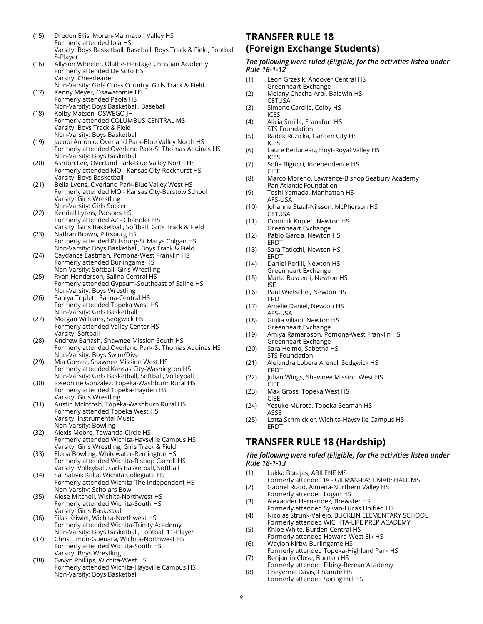- (15) Dreden Ellis, Moran-Marmaton Valley HS Formerly attended Iola HS Varsity: Boys Basketball, Baseball, Boys Track & Field, Football 8-Player
- (16) Allyson Wheeler, Olathe-Heritage Christian Academy Formerly attended De Soto HS Varsity: Cheerleader
- Non-Varsity: Girls Cross Country, Girls Track & Field (17) Kenny Meyer, Osawatomie HS
- Formerly attended Paola HS Non-Varsity: Boys Basketball, Baseball (18) Kolby Matson, OSWEGO JH
- Formerly attended COLUMBUS-CENTRAL MS Varsity: Boys Track & Field Non-Varsity: Boys Basketball
- (19) Jacobi Antonio, Overland Park-Blue Valley North HS Formerly attended Overland Park-St Thomas Aquinas HS Non-Varsity: Boys Basketball
- (20) Ashton Lee, Overland Park-Blue Valley North HS Formerly attended MO - Kansas City-Rockhurst HS Varsity: Boys Basketball
- (21) Bella Lyons, Overland Park-Blue Valley West HS Formerly attended MO - Kansas City-Barstow School Varsity: Girls Wrestling Non-Varsity: Girls Soccer
- (22) Kendall Lyons, Parsons HS Formerly attended AZ - Chandler HS Varsity: Girls Basketball, Softball, Girls Track & Field
- (23) Nathan Brown, Pittsburg HS Formerly attended Pittsburg-St Marys Colgan HS Non-Varsity: Boys Basketball, Boys Track & Field
- (24) Caydance Eastman, Pomona-West Franklin HS Formerly attended Burlingame HS Non-Varsity: Softball, Girls Wrestling
- (25) Ryan Henderson, Salina-Central HS Formerly attended Gypsum-Southeast of Saline HS Non-Varsity: Boys Wrestling
- (26) Saniya Triplett, Salina-Central HS Formerly attended Topeka West HS Non-Varsity: Girls Basketball
- (27) Morgan Williams, Sedgwick HS Formerly attended Valley Center HS Varsity: Softball
- (28) Andrew Banash, Shawnee Mission South HS Formerly attended Overland Park-St Thomas Aquinas HS Non-Varsity: Boys Swim/Dive
- (29) Mia Gomez, Shawnee Mission West HS Formerly attended Kansas City-Washington HS Non-Varsity: Girls Basketball, Softball, Volleyball
- (30) Josephine Gonzalez, Topeka-Washburn Rural HS Formerly attended Topeka-Hayden HS Varsity: Girls Wrestling
- (31) Austin McIntosh, Topeka-Washburn Rural HS Formerly attended Topeka West HS Varsity: Instrumental Music Non-Varsity: Bowling
- (32) Alexis Moore, Towanda-Circle HS Formerly attended Wichita-Haysville Campus HS Varsity: Girls Wrestling, Girls Track & Field
- (33) Elena Bowling, Whitewater-Remington HS Formerly attended Wichita-Bishop Carroll HS Varsity: Volleyball, Girls Basketball, Softball
- (34) Sai Sativik Kolla, Wichita Collegiate HS Formerly attended Wichita-The Independent HS
- Non-Varsity: Scholars Bowl (35) Alese Mitchell, Wichita-Northwest HS Formerly attended Wichita-South HS Varsity: Girls Basketball
- (36) Silas Kriwiel, Wichita-Northwest HS Formerly attended Wichita-Trinity Academy Non-Varsity: Boys Basketball, Football 11-Player
- (37) Chris Limon-Gueuara, Wichita-Northwest HS Formerly attended Wichita-South HS Varsity: Boys Wrestling
- (38) Gavyn Phillips, Wichita-West HS Formerly attended Wichita-Haysville Campus HS Non-Varsity: Boys Basketball

## **TRANSFER RULE 18 (Foreign Exchange Students)**

#### *The following were ruled (Eligible) for the activities listed under Rule 18-1-12*

- (1) Leon Grzesik, Andover Central HS Greenheart Exchange
- (2) Melany Chacha Arpi, Baldwin HS **CETUSA**
- (3) Simone Cardile, Colby HS ICES
- (4) Alicia Smilla, Frankfort HS STS Foundation
- (5) Radek Ruzicka, Garden City HS ICES
- (6) Laure Beduneau, Hoyt-Royal Valley HS ICES
- (7) Sofia Bigucci, Independence HS CIEE
- (8) Marco Moreno, Lawrence-Bishop Seabury Academy Pan Atlantic Foundation
- (9) Toshi Yamada, Manhattan HS AFS-USA
- (10) Johanna Staaf-Nilsson, McPherson HS
- **CETUSA** (11) Dominik Kupiec, Newton HS
- Greenheart Exchange (12) Pablo Garcia, Newton HS ERDT
- (13) Sara Taticchi, Newton HS **FRDT**
- (14) Daniel Perilli, Newton HS Greenheart Exchange
- (15) Marta Buscemi, Newton HS ISE
- (16) Paul Wietschel, Newton HS ERDT
- (17) Amelie Daniel, Newton HS AFS-USA
- (18) Giulia Viliani, Newton HS Greenheart Exchange
- (19) Amiya Ramaroson, Pomona-West Franklin HS Greenheart Exchange
- (20) Sara Heimo, Sabetha HS STS Foundation
- (21) Alejandra Lobera Arenal, Sedgwick HS **ERDT**
- (22) Julian Wings, Shawnee Mission West HS CIEE
- (23) Max Gross, Topeka West HS CIEE
- (24) Yosuke Murota, Topeka-Seaman HS ASSE
- (25) Lotta Schmickler, Wichita-Haysville Campus HS ERDT

## **TRANSFER RULE 18 (Hardship)**

#### *The following were ruled (Eligible) for the activities listed under Rule 18-1-13*

- (1) Lukka Barajas, ABILENE MS Formerly attended IA - GILMAN-EAST MARSHALL MS
- (2) Gabriel Rudd, Almena-Northern Valley HS Formerly attended Logan HS
- (3) Alexander Hernandez, Brewster HS Formerly attended Sylvan-Lucas Unified HS
- (4) Nicolas Strunk-Vallejo, BUCKLIN ELEMENTARY SCHOOL Formerly attended WICHITA-LIFE PREP ACADEMY
- (5) Khloe White, Burden-Central HS
- Formerly attended Howard-West Elk HS (6) Waylon Kirby, Burlingame HS
- Formerly attended Topeka-Highland Park HS (7) Benjamin Close, Burrton HS
- Formerly attended Elbing-Berean Academy (8) Cheyenne Davis, Chanute HS
- Formerly attended Spring Hill HS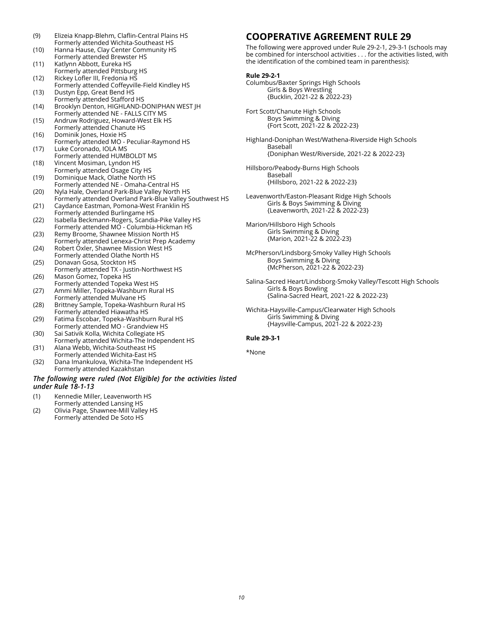- (9) Elizeia Knapp-Blehm, Claflin-Central Plains HS Formerly attended Wichita-Southeast HS
- (10) Hanna Hause, Clay Center Community HS Formerly attended Brewster HS
- (11) Katlynn Abbott, Eureka HS Formerly attended Pittsburg HS
- (12) Rickey Lofler III, Fredonia HS Formerly attended Coffeyville-Field Kindley HS (13) Dustyn Epp, Great Bend HS
- Formerly attended Stafford HS (14) Brooklyn Denton, HIGHLAND-DONIPHAN WEST JH
- Formerly attended NE FALLS CITY MS (15) Andruw Rodriguez, Howard-West Elk HS
- Formerly attended Chanute HS
- (16) Dominik Jones, Hoxie HS Formerly attended MO - Peculiar-Raymond HS
- (17) Luke Coronado, IOLA MS Formerly attended HUMBOLDT MS (18) Vincent Mosiman, Lyndon HS
- Formerly attended Osage City HS (19) Dominique Mack, Olathe North HS
- Formerly attended NE Omaha-Central HS
- (20) Nyla Hale, Overland Park-Blue Valley North HS Formerly attended Overland Park-Blue Valley Southwest HS (21) Caydance Eastman, Pomona-West Franklin HS
- Formerly attended Burlingame HS (22) Isabella Beckmann-Rogers, Scandia-Pike Valley HS
- Formerly attended MO Columbia-Hickman HS
- (23) Remy Broome, Shawnee Mission North HS Formerly attended Lenexa-Christ Prep Academy (24) Robert Oxler, Shawnee Mission West HS
- Formerly attended Olathe North HS (25) Donavan Gosa, Stockton HS
- Formerly attended TX Justin-Northwest HS (26) Mason Gomez, Topeka HS
- Formerly attended Topeka West HS (27) Ammi Miller, Topeka-Washburn Rural HS
- Formerly attended Mulvane HS
- (28) Brittney Sample, Topeka-Washburn Rural HS Formerly attended Hiawatha HS
- (29) Fatima Escobar, Topeka-Washburn Rural HS Formerly attended MO - Grandview HS
- (30) Sai Sativik Kolla, Wichita Collegiate HS Formerly attended Wichita-The Independent HS
- (31) Alana Webb, Wichita-Southeast HS Formerly attended Wichita-East HS
- (32) Dana Imankulova, Wichita-The Independent HS Formerly attended Kazakhstan

#### *The following were ruled (Not Eligible) for the activities listed under Rule 18-1-13*

- (1) Kennedie Miller, Leavenworth HS Formerly attended Lansing HS
- (2) Olivia Page, Shawnee-Mill Valley HS
- Formerly attended De Soto HS

## **COOPERATIVE AGREEMENT RULE 29**

The following were approved under Rule 29-2-1, 29-3-1 (schools may be combined for interschool activities . . . for the activities listed, with the identification of the combined team in parenthesis):

#### **Rule 29-2-1**

- Columbus/Baxter Springs High Schools Girls & Boys Wrestling {Bucklin, 2021-22 & 2022-23}
- Fort Scott/Chanute High Schools Boys Swimming & Diving {Fort Scott, 2021-22 & 2022-23}
- Highland-Doniphan West/Wathena-Riverside High Schools Baseball {Doniphan West/Riverside, 2021-22 & 2022-23}
- Hillsboro/Peabody-Burns High Schools Baseball {Hillsboro, 2021-22 & 2022-23}
- Leavenworth/Easton-Pleasant Ridge High Schools Girls & Boys Swimming & Diving {Leavenworth, 2021-22 & 2022-23}
- Marion/Hillsboro High Schools Girls Swimming & Diving {Marion, 2021-22 & 2022-23}
- McPherson/Lindsborg-Smoky Valley High Schools Boys Swimming & Diving {McPherson, 2021-22 & 2022-23}
- Salina-Sacred Heart/Lindsborg-Smoky Valley/Tescott High Schools Girls & Boys Bowling {Salina-Sacred Heart, 2021-22 & 2022-23}
- Wichita-Haysville-Campus/Clearwater High Schools Girls Swimming & Diving {Haysville-Campus, 2021-22 & 2022-23}

#### **Rule 29-3-1**

\*None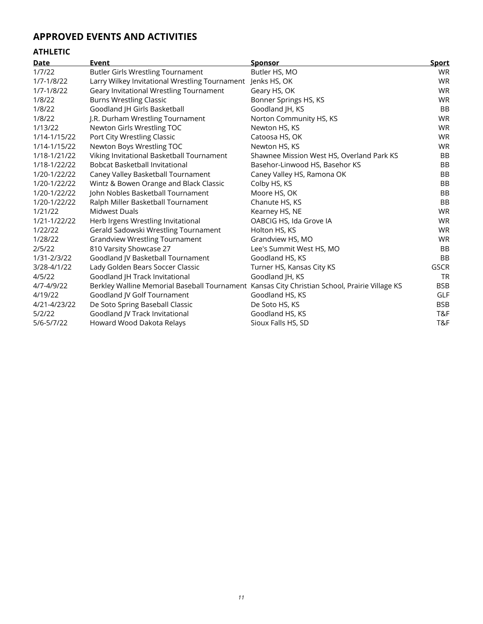# **APPROVED EVENTS AND ACTIVITIES**

# **ATHLETIC**

| <b>Date</b>  | Event                                                                                         | <b>Sponsor</b>                            | <b>Sport</b> |
|--------------|-----------------------------------------------------------------------------------------------|-------------------------------------------|--------------|
| 1/7/22       | <b>Butler Girls Wrestling Tournament</b>                                                      | Butler HS, MO                             | <b>WR</b>    |
| 1/7-1/8/22   | Larry Wilkey Invitational Wrestling Tournament                                                | Jenks HS, OK                              | <b>WR</b>    |
| 1/7-1/8/22   | Geary Invitational Wrestling Tournament                                                       | Geary HS, OK                              | <b>WR</b>    |
| 1/8/22       | <b>Burns Wrestling Classic</b>                                                                | Bonner Springs HS, KS                     | <b>WR</b>    |
| 1/8/22       | Goodland JH Girls Basketball                                                                  | Goodland JH, KS                           | <b>BB</b>    |
| 1/8/22       | J.R. Durham Wrestling Tournament                                                              | Norton Community HS, KS                   | <b>WR</b>    |
| 1/13/22      | Newton Girls Wrestling TOC                                                                    | Newton HS, KS                             | WR.          |
| 1/14-1/15/22 | Port City Wrestling Classic                                                                   | Catoosa HS, OK                            | <b>WR</b>    |
| 1/14-1/15/22 | Newton Boys Wrestling TOC                                                                     | Newton HS, KS                             | <b>WR</b>    |
| 1/18-1/21/22 | Viking Invitational Basketball Tournament                                                     | Shawnee Mission West HS, Overland Park KS | <b>BB</b>    |
| 1/18-1/22/22 | <b>Bobcat Basketball Invitational</b>                                                         | Basehor-Linwood HS, Basehor KS            | <b>BB</b>    |
| 1/20-1/22/22 | Caney Valley Basketball Tournament                                                            | Caney Valley HS, Ramona OK                | <b>BB</b>    |
| 1/20-1/22/22 | Wintz & Bowen Orange and Black Classic                                                        | Colby HS, KS                              | <b>BB</b>    |
| 1/20-1/22/22 | John Nobles Basketball Tournament                                                             | Moore HS, OK                              | <b>BB</b>    |
| 1/20-1/22/22 | Ralph Miller Basketball Tournament                                                            | Chanute HS, KS                            | <b>BB</b>    |
| 1/21/22      | Midwest Duals                                                                                 | Kearney HS, NE                            | <b>WR</b>    |
| 1/21-1/22/22 | Herb Irgens Wrestling Invitational                                                            | OABCIG HS, Ida Grove IA                   | WR.          |
| 1/22/22      | Gerald Sadowski Wrestling Tournament                                                          | Holton HS, KS                             | <b>WR</b>    |
| 1/28/22      | <b>Grandview Wrestling Tournament</b>                                                         | Grandview HS, MO                          | <b>WR</b>    |
| 2/5/22       | 810 Varsity Showcase 27                                                                       | Lee's Summit West HS, MO                  | <b>BB</b>    |
| 1/31-2/3/22  | Goodland JV Basketball Tournament                                                             | Goodland HS, KS                           | <b>BB</b>    |
| 3/28-4/1/22  | Lady Golden Bears Soccer Classic                                                              | Turner HS, Kansas City KS                 | <b>GSCR</b>  |
| 4/5/22       | Goodland JH Track Invitational                                                                | Goodland JH, KS                           | <b>TR</b>    |
| 4/7-4/9/22   | Berkley Walline Memorial Baseball Tournament Kansas City Christian School, Prairie Village KS |                                           | <b>BSB</b>   |
| 4/19/22      | Goodland JV Golf Tournament                                                                   | Goodland HS, KS                           | GLF          |
| 4/21-4/23/22 | De Soto Spring Baseball Classic                                                               | De Soto HS, KS                            | <b>BSB</b>   |
| 5/2/22       | Goodland JV Track Invitational                                                                | Goodland HS, KS                           | T&F          |
| 5/6-5/7/22   | Howard Wood Dakota Relays                                                                     | Sioux Falls HS, SD                        | T&F          |